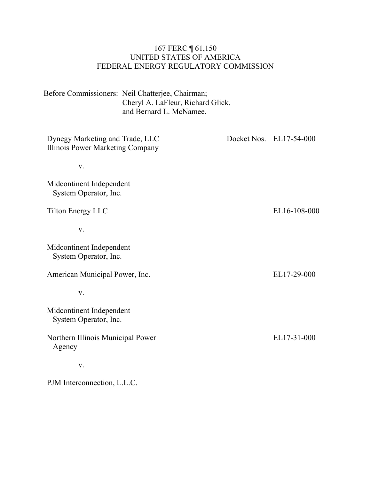### 167 FERC ¶ 61,150 UNITED STATES OF AMERICA FEDERAL ENERGY REGULATORY COMMISSION

Before Commissioners: Neil Chatterjee, Chairman; Cheryl A. LaFleur, Richard Glick, and Bernard L. McNamee.

| Dynegy Marketing and Trade, LLC<br>Illinois Power Marketing Company | Docket Nos. EL17-54-000 |
|---------------------------------------------------------------------|-------------------------|
| V.                                                                  |                         |
| Midcontinent Independent<br>System Operator, Inc.                   |                         |
| Tilton Energy LLC                                                   | EL16-108-000            |
| V.                                                                  |                         |
| Midcontinent Independent<br>System Operator, Inc.                   |                         |
| American Municipal Power, Inc.                                      | EL17-29-000             |
| V.                                                                  |                         |
| Midcontinent Independent<br>System Operator, Inc.                   |                         |
| Northern Illinois Municipal Power<br>Agency                         | EL17-31-000             |
| V.                                                                  |                         |
| PJM Interconnection, L.L.C.                                         |                         |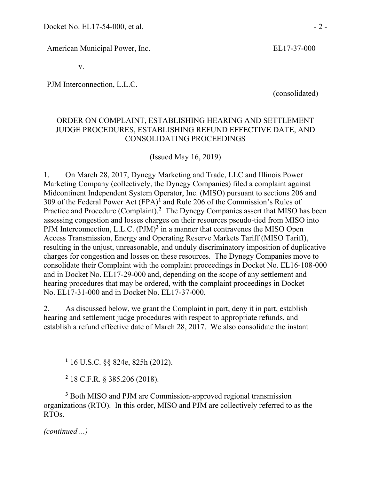American Municipal Power, Inc. EL17-37-000

v.

PJM Interconnection, L.L.C.

(consolidated)

### ORDER ON COMPLAINT, ESTABLISHING HEARING AND SETTLEMENT JUDGE PROCEDURES, ESTABLISHING REFUND EFFECTIVE DATE, AND CONSOLIDATING PROCEEDINGS

(Issued May 16, 2019)

1. On March 28, 2017, Dynegy Marketing and Trade, LLC and Illinois Power Marketing Company (collectively, the Dynegy Companies) filed a complaint against Midcontinent Independent System Operator, Inc. (MISO) pursuant to sections 206 and 309 of the Federal Power Act (FPA)**[1](#page-1-0)** and Rule 206 of the Commission's Rules of Practice and Procedure (Complaint).<sup>[2](#page-1-1)</sup> The Dynegy Companies assert that MISO has been assessing congestion and losses charges on their resources pseudo-tied from MISO into PJM Interconnection, L.L.C. (PJM)<sup>[3](#page-1-2)</sup> in a manner that contravenes the MISO Open Access Transmission, Energy and Operating Reserve Markets Tariff (MISO Tariff), resulting in the unjust, unreasonable, and unduly discriminatory imposition of duplicative charges for congestion and losses on these resources. The Dynegy Companies move to consolidate their Complaint with the complaint proceedings in Docket No. EL16-108-000 and in Docket No. EL17-29-000 and, depending on the scope of any settlement and hearing procedures that may be ordered, with the complaint proceedings in Docket No. EL17-31-000 and in Docket No. EL17-37-000.

2. As discussed below, we grant the Complaint in part, deny it in part, establish hearing and settlement judge procedures with respect to appropriate refunds, and establish a refund effective date of March 28, 2017. We also consolidate the instant

**<sup>1</sup>** 16 U.S.C. §§ 824e, 825h (2012).

**<sup>2</sup>** 18 C.F.R. § 385.206 (2018).

<span id="page-1-2"></span><span id="page-1-1"></span><span id="page-1-0"></span>**<sup>3</sup>** Both MISO and PJM are Commission-approved regional transmission organizations (RTO). In this order, MISO and PJM are collectively referred to as the RTOs.

*(continued ...)*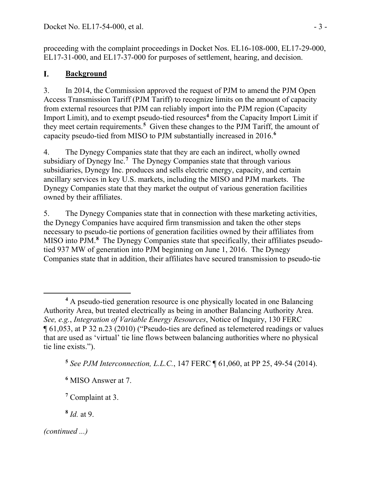proceeding with the complaint proceedings in Docket Nos. EL16-108-000, EL17-29-000, EL17-31-000, and EL17-37-000 for purposes of settlement, hearing, and decision.

### I. **Background**

3. In 2014, the Commission approved the request of PJM to amend the PJM Open Access Transmission Tariff (PJM Tariff) to recognize limits on the amount of capacity from external resources that PJM can reliably import into the PJM region (Capacity Import Limit), and to exempt pseudo-tied resources<sup>[4](#page-2-0)</sup> from the Capacity Import Limit if they meet certain requirements.**[5](#page-2-1)** Given these changes to the PJM Tariff, the amount of capacity pseudo-tied from MISO to PJM substantially increased in 2016. **[6](#page-2-2)**

4. The Dynegy Companies state that they are each an indirect, wholly owned subsidiary of Dynegy Inc.**[7](#page-2-3)** The Dynegy Companies state that through various subsidiaries, Dynegy Inc. produces and sells electric energy, capacity, and certain ancillary services in key U.S. markets, including the MISO and PJM markets. The Dynegy Companies state that they market the output of various generation facilities owned by their affiliates.

5. The Dynegy Companies state that in connection with these marketing activities, the Dynegy Companies have acquired firm transmission and taken the other steps necessary to pseudo-tie portions of generation facilities owned by their affiliates from MISO into PJM.**[8](#page-2-4)** The Dynegy Companies state that specifically, their affiliates pseudotied 937 MW of generation into PJM beginning on June 1, 2016. The Dynegy Companies state that in addition, their affiliates have secured transmission to pseudo-tie

<span id="page-2-0"></span>**<sup>4</sup>** A pseudo-tied generation resource is one physically located in one Balancing Authority Area, but treated electrically as being in another Balancing Authority Area. *See, e.g.*, *Integration of Variable Energy Resources*, Notice of Inquiry, 130 FERC ¶ 61,053, at P 32 n.23 (2010) ("Pseudo-ties are defined as telemetered readings or values that are used as 'virtual' tie line flows between balancing authorities where no physical tie line exists.").

<span id="page-2-1"></span>**<sup>5</sup>** *See PJM Interconnection, L.L.C.*, 147 FERC ¶ 61,060, at PP 25, 49-54 (2014).

<span id="page-2-2"></span>**<sup>6</sup>** MISO Answer at 7.

**<sup>7</sup>** Complaint at 3.

**<sup>8</sup>** *Id.* at 9.

<span id="page-2-4"></span><span id="page-2-3"></span>*<sup>(</sup>continued ...)*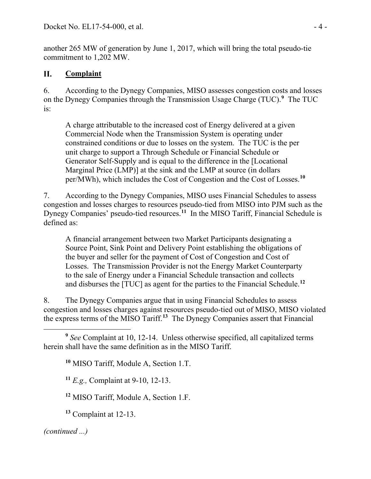another 265 MW of generation by June 1, 2017, which will bring the total pseudo-tie commitment to 1,202 MW.

### II. **Complaint**

6. According to the Dynegy Companies, MISO assesses congestion costs and losses on the Dynegy Companies through the Transmission Usage Charge (TUC).**[9](#page-3-0)** The TUC is:

A charge attributable to the increased cost of Energy delivered at a given Commercial Node when the Transmission System is operating under constrained conditions or due to losses on the system. The TUC is the per unit charge to support a Through Schedule or Financial Schedule or Generator Self-Supply and is equal to the difference in the [Locational Marginal Price (LMP)] at the sink and the LMP at source (in dollars per/MWh), which includes the Cost of Congestion and the Cost of Losses.**[10](#page-3-1)**

7. According to the Dynegy Companies, MISO uses Financial Schedules to assess congestion and losses charges to resources pseudo-tied from MISO into PJM such as the Dynegy Companies' pseudo-tied resources.**[11](#page-3-2)** In the MISO Tariff, Financial Schedule is defined as:

A financial arrangement between two Market Participants designating a Source Point, Sink Point and Delivery Point establishing the obligations of the buyer and seller for the payment of Cost of Congestion and Cost of Losses. The Transmission Provider is not the Energy Market Counterparty to the sale of Energy under a Financial Schedule transaction and collects and disburses the [TUC] as agent for the parties to the Financial Schedule.**[12](#page-3-3)**

8. The Dynegy Companies argue that in using Financial Schedules to assess congestion and losses charges against resources pseudo-tied out of MISO, MISO violated the express terms of the MISO Tariff.**[13](#page-3-4)** The Dynegy Companies assert that Financial

**<sup>10</sup>** MISO Tariff, Module A, Section 1.T.

<span id="page-3-2"></span>**<sup>11</sup>** *E.g.,* Complaint at 9-10, 12-13.

<span id="page-3-3"></span>**<sup>12</sup>** MISO Tariff, Module A, Section 1.F.

<span id="page-3-4"></span>**<sup>13</sup>** Complaint at 12-13.

<span id="page-3-1"></span><span id="page-3-0"></span> $\overline{a}$ **<sup>9</sup>** *See* Complaint at 10, 12-14. Unless otherwise specified, all capitalized terms herein shall have the same definition as in the MISO Tariff.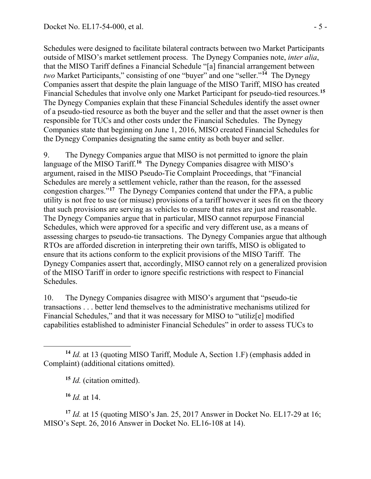Schedules were designed to facilitate bilateral contracts between two Market Participants outside of MISO's market settlement process. The Dynegy Companies note, *inter alia*, that the MISO Tariff defines a Financial Schedule "[a] financial arrangement between *two* Market Participants," consisting of one "buyer" and one "seller."**[14](#page-4-0)** The Dynegy Companies assert that despite the plain language of the MISO Tariff, MISO has created Financial Schedules that involve only one Market Participant for pseudo-tied resources.**[15](#page-4-1)** The Dynegy Companies explain that these Financial Schedules identify the asset owner of a pseudo-tied resource as both the buyer and the seller and that the asset owner is then responsible for TUCs and other costs under the Financial Schedules. The Dynegy Companies state that beginning on June 1, 2016, MISO created Financial Schedules for the Dynegy Companies designating the same entity as both buyer and seller.

9. The Dynegy Companies argue that MISO is not permitted to ignore the plain language of the MISO Tariff.<sup>[16](#page-4-2)</sup> The Dynegy Companies disagree with MISO's argument, raised in the MISO Pseudo-Tie Complaint Proceedings, that "Financial Schedules are merely a settlement vehicle, rather than the reason, for the assessed congestion charges."**[17](#page-4-3)** The Dynegy Companies contend that under the FPA, a public utility is not free to use (or misuse) provisions of a tariff however it sees fit on the theory that such provisions are serving as vehicles to ensure that rates are just and reasonable. The Dynegy Companies argue that in particular, MISO cannot repurpose Financial Schedules, which were approved for a specific and very different use, as a means of assessing charges to pseudo-tie transactions. The Dynegy Companies argue that although RTOs are afforded discretion in interpreting their own tariffs, MISO is obligated to ensure that its actions conform to the explicit provisions of the MISO Tariff. The Dynegy Companies assert that, accordingly, MISO cannot rely on a generalized provision of the MISO Tariff in order to ignore specific restrictions with respect to Financial Schedules.

10. The Dynegy Companies disagree with MISO's argument that "pseudo-tie transactions . . . better lend themselves to the administrative mechanisms utilized for Financial Schedules," and that it was necessary for MISO to "utiliz[e] modified capabilities established to administer Financial Schedules" in order to assess TUCs to

**<sup>16</sup>** *Id.* at 14.

<span id="page-4-3"></span><span id="page-4-2"></span>**<sup>17</sup>** *Id.* at 15 (quoting MISO's Jan. 25, 2017 Answer in Docket No. EL17-29 at 16; MISO's Sept. 26, 2016 Answer in Docket No. EL16-108 at 14).

<span id="page-4-1"></span><span id="page-4-0"></span> $\overline{a}$ **<sup>14</sup>** *Id.* at 13 (quoting MISO Tariff, Module A, Section 1.F) (emphasis added in Complaint) (additional citations omitted).

**<sup>15</sup>** *Id.* (citation omitted).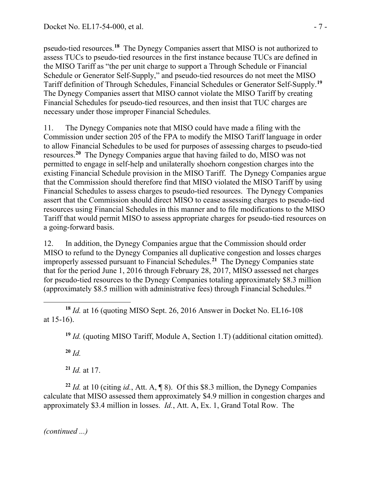pseudo-tied resources.**[18](#page-6-0)** The Dynegy Companies assert that MISO is not authorized to assess TUCs to pseudo-tied resources in the first instance because TUCs are defined in the MISO Tariff as "the per unit charge to support a Through Schedule or Financial Schedule or Generator Self-Supply," and pseudo-tied resources do not meet the MISO Tariff definition of Through Schedules, Financial Schedules or Generator Self-Supply.**[19](#page-6-1)** The Dynegy Companies assert that MISO cannot violate the MISO Tariff by creating Financial Schedules for pseudo-tied resources, and then insist that TUC charges are necessary under those improper Financial Schedules.

11. The Dynegy Companies note that MISO could have made a filing with the Commission under section 205 of the FPA to modify the MISO Tariff language in order to allow Financial Schedules to be used for purposes of assessing charges to pseudo-tied resources.**[20](#page-6-2)** The Dynegy Companies argue that having failed to do, MISO was not permitted to engage in self-help and unilaterally shoehorn congestion charges into the existing Financial Schedule provision in the MISO Tariff. The Dynegy Companies argue that the Commission should therefore find that MISO violated the MISO Tariff by using Financial Schedules to assess charges to pseudo-tied resources. The Dynegy Companies assert that the Commission should direct MISO to cease assessing charges to pseudo-tied resources using Financial Schedules in this manner and to file modifications to the MISO Tariff that would permit MISO to assess appropriate charges for pseudo-tied resources on a going-forward basis.

12. In addition, the Dynegy Companies argue that the Commission should order MISO to refund to the Dynegy Companies all duplicative congestion and losses charges improperly assessed pursuant to Financial Schedules.**[21](#page-6-3)** The Dynegy Companies state that for the period June 1, 2016 through February 28, 2017, MISO assessed net charges for pseudo-tied resources to the Dynegy Companies totaling approximately \$8.3 million (approximately \$8.5 million with administrative fees) through Financial Schedules.**[22](#page-6-4)**

**<sup>19</sup>** *Id.* (quoting MISO Tariff, Module A, Section 1.T) (additional citation omitted).

**<sup>20</sup>** *Id.*

**<sup>21</sup>** *Id.* at 17.

<span id="page-6-4"></span><span id="page-6-3"></span><span id="page-6-2"></span>**<sup>22</sup>** *Id.* at 10 (citing *id.*, Att. A, ¶ 8). Of this \$8.3 million, the Dynegy Companies calculate that MISO assessed them approximately \$4.9 million in congestion charges and approximately \$3.4 million in losses. *Id.*, Att. A, Ex. 1, Grand Total Row. The

<span id="page-6-1"></span><span id="page-6-0"></span> $\overline{a}$ **<sup>18</sup>** *Id.* at 16 (quoting MISO Sept. 26, 2016 Answer in Docket No. EL16-108 at 15-16).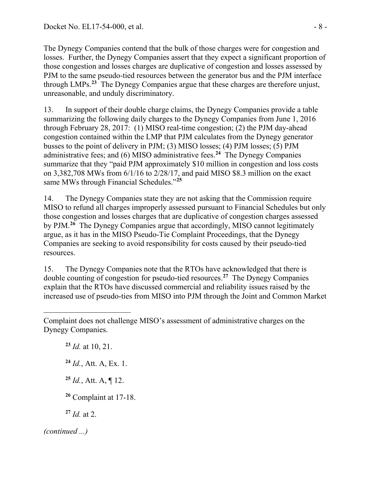The Dynegy Companies contend that the bulk of those charges were for congestion and losses. Further, the Dynegy Companies assert that they expect a significant proportion of those congestion and losses charges are duplicative of congestion and losses assessed by PJM to the same pseudo-tied resources between the generator bus and the PJM interface through LMPs.**[23](#page-7-0)** The Dynegy Companies argue that these charges are therefore unjust, unreasonable, and unduly discriminatory.

13. In support of their double charge claims, the Dynegy Companies provide a table summarizing the following daily charges to the Dynegy Companies from June 1, 2016 through February 28, 2017: (1) MISO real-time congestion; (2) the PJM day-ahead congestion contained within the LMP that PJM calculates from the Dynegy generator busses to the point of delivery in PJM; (3) MISO losses; (4) PJM losses; (5) PJM administrative fees; and (6) MISO administrative fees.**[24](#page-7-1)** The Dynegy Companies summarize that they "paid PJM approximately \$10 million in congestion and loss costs on 3,382,708 MWs from 6/1/16 to 2/28/17, and paid MISO \$8.3 million on the exact same MWs through Financial Schedules."**[25](#page-7-2)**

14. The Dynegy Companies state they are not asking that the Commission require MISO to refund all charges improperly assessed pursuant to Financial Schedules but only those congestion and losses charges that are duplicative of congestion charges assessed by PJM.**[26](#page-7-3)** The Dynegy Companies argue that accordingly, MISO cannot legitimately argue, as it has in the MISO Pseudo-Tie Complaint Proceedings, that the Dynegy Companies are seeking to avoid responsibility for costs caused by their pseudo-tied resources.

15. The Dynegy Companies note that the RTOs have acknowledged that there is double counting of congestion for pseudo-tied resources.**[27](#page-7-4)** The Dynegy Companies explain that the RTOs have discussed commercial and reliability issues raised by the increased use of pseudo-ties from MISO into PJM through the Joint and Common Market

<span id="page-7-4"></span><span id="page-7-3"></span><span id="page-7-2"></span><span id="page-7-1"></span><span id="page-7-0"></span> *Id.* at 10, 21. *Id.*, Att. A, Ex. 1. *Id.*, Att. A, ¶ 12. Complaint at 17-18. *Id.* at 2. *(continued ...)*

Complaint does not challenge MISO's assessment of administrative charges on the Dynegy Companies.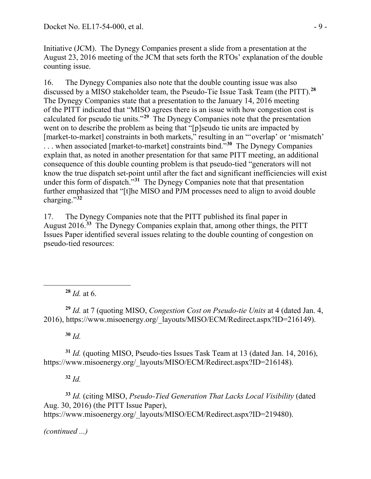Initiative (JCM). The Dynegy Companies present a slide from a presentation at the August 23, 2016 meeting of the JCM that sets forth the RTOs' explanation of the double counting issue.

16. The Dynegy Companies also note that the double counting issue was also discussed by a MISO stakeholder team, the Pseudo-Tie Issue Task Team (the PITT).**[28](#page-8-0)** The Dynegy Companies state that a presentation to the January 14, 2016 meeting of the PITT indicated that "MISO agrees there is an issue with how congestion cost is calculated for pseudo tie units."**[29](#page-8-1)** The Dynegy Companies note that the presentation went on to describe the problem as being that "[p]seudo tie units are impacted by [market-to-market] constraints in both markets," resulting in an "'overlap' or 'mismatch' . . . when associated [market-to-market] constraints bind."**[30](#page-8-2)** The Dynegy Companies explain that, as noted in another presentation for that same PITT meeting, an additional consequence of this double counting problem is that pseudo-tied "generators will not know the true dispatch set-point until after the fact and significant inefficiencies will exist under this form of dispatch.<sup>"[31](#page-8-3)</sup> The Dynegy Companies note that that presentation further emphasized that "[t]he MISO and PJM processes need to align to avoid double charging."**[32](#page-8-4)**

17. The Dynegy Companies note that the PITT published its final paper in August 2016.**[33](#page-8-5)** The Dynegy Companies explain that, among other things, the PITT Issues Paper identified several issues relating to the double counting of congestion on pseudo-tied resources:

**<sup>28</sup>** *Id.* at 6.

<span id="page-8-1"></span>**<sup>29</sup>** *Id.* at 7 (quoting MISO, *Congestion Cost on Pseudo-tie Units* at 4 (dated Jan. 4, 2016), https://www.misoenergy.org/\_layouts/MISO/ECM/Redirect.aspx?ID=216149).

**<sup>30</sup>** *Id.*

<span id="page-8-0"></span> $\overline{a}$ 

<span id="page-8-3"></span><span id="page-8-2"></span>**<sup>31</sup>** *Id.* (quoting MISO, Pseudo-ties Issues Task Team at 13 (dated Jan. 14, 2016), https://www.misoenergy.org/\_layouts/MISO/ECM/Redirect.aspx?ID=216148).

**<sup>32</sup>** *Id.*

<span id="page-8-5"></span><span id="page-8-4"></span>**<sup>33</sup>** *Id.* (citing MISO, *Pseudo-Tied Generation That Lacks Local Visibility* (dated Aug. 30, 2016) (the PITT Issue Paper), https://www.misoenergy.org/\_layouts/MISO/ECM/Redirect.aspx?ID=219480).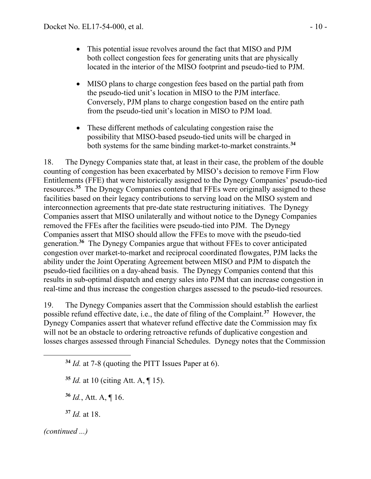- This potential issue revolves around the fact that MISO and PJM both collect congestion fees for generating units that are physically located in the interior of the MISO footprint and pseudo-tied to PJM.
- MISO plans to charge congestion fees based on the partial path from the pseudo-tied unit's location in MISO to the PJM interface. Conversely, PJM plans to charge congestion based on the entire path from the pseudo-tied unit's location in MISO to PJM load.
- These different methods of calculating congestion raise the possibility that MISO-based pseudo-tied units will be charged in both systems for the same binding market-to-market constraints.**[34](#page-9-0)**

18. The Dynegy Companies state that, at least in their case, the problem of the double counting of congestion has been exacerbated by MISO's decision to remove Firm Flow Entitlements (FFE) that were historically assigned to the Dynegy Companies' pseudo-tied resources.**[35](#page-9-1)** The Dynegy Companies contend that FFEs were originally assigned to these facilities based on their legacy contributions to serving load on the MISO system and interconnection agreements that pre-date state restructuring initiatives. The Dynegy Companies assert that MISO unilaterally and without notice to the Dynegy Companies removed the FFEs after the facilities were pseudo-tied into PJM. The Dynegy Companies assert that MISO should allow the FFEs to move with the pseudo-tied generation.**[36](#page-9-2)** The Dynegy Companies argue that without FFEs to cover anticipated congestion over market-to-market and reciprocal coordinated flowgates, PJM lacks the ability under the Joint Operating Agreement between MISO and PJM to dispatch the pseudo-tied facilities on a day-ahead basis. The Dynegy Companies contend that this results in sub-optimal dispatch and energy sales into PJM that can increase congestion in real-time and thus increase the congestion charges assessed to the pseudo-tied resources.

19. The Dynegy Companies assert that the Commission should establish the earliest possible refund effective date, i.e., the date of filing of the Complaint.**[37](#page-9-3)** However, the Dynegy Companies assert that whatever refund effective date the Commission may fix will not be an obstacle to ordering retroactive refunds of duplicative congestion and losses charges assessed through Financial Schedules. Dynegy notes that the Commission

<span id="page-9-0"></span>**<sup>34</sup>** *Id.* at 7-8 (quoting the PITT Issues Paper at 6).

- <span id="page-9-1"></span>**<sup>35</sup>** *Id.* at 10 (citing Att. A, ¶ 15).
- **<sup>36</sup>** *Id.*, Att. A, ¶ 16.

**<sup>37</sup>** *Id.* at 18.

<span id="page-9-3"></span><span id="page-9-2"></span>*(continued ...)*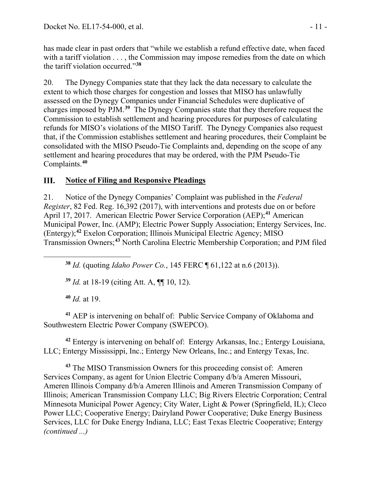has made clear in past orders that "while we establish a refund effective date, when faced with a tariff violation . . . , the Commission may impose remedies from the date on which the tariff violation occurred."**[38](#page-10-0)**

20. The Dynegy Companies state that they lack the data necessary to calculate the extent to which those charges for congestion and losses that MISO has unlawfully assessed on the Dynegy Companies under Financial Schedules were duplicative of charges imposed by PJM.**[39](#page-10-1)** The Dynegy Companies state that they therefore request the Commission to establish settlement and hearing procedures for purposes of calculating refunds for MISO's violations of the MISO Tariff. The Dynegy Companies also request that, if the Commission establishes settlement and hearing procedures, their Complaint be consolidated with the MISO Pseudo-Tie Complaints and, depending on the scope of any settlement and hearing procedures that may be ordered, with the PJM Pseudo-Tie Complaints.**[40](#page-10-2)**

#### **Notice of Filing and Responsive Pleadings** III.

21. Notice of the Dynegy Companies' Complaint was published in the *Federal Register*, 82 Fed. Reg. 16,392 (2017), with interventions and protests due on or before April 17, 2017. American Electric Power Service Corporation (AEP);**[41](#page-10-3)** American Municipal Power, Inc. (AMP); Electric Power Supply Association; Entergy Services, Inc. (Entergy);**[42](#page-10-4)** Exelon Corporation; Illinois Municipal Electric Agency; MISO Transmission Owners;**[43](#page-10-5)** North Carolina Electric Membership Corporation; and PJM filed

**<sup>38</sup>** *Id.* (quoting *Idaho Power Co.*, 145 FERC ¶ 61,122 at n.6 (2013)).

**<sup>39</sup>** *Id.* at 18-19 (citing Att. A, ¶¶ 10, 12).

**<sup>40</sup>** *Id.* at 19.

<span id="page-10-1"></span><span id="page-10-0"></span> $\overline{a}$ 

<span id="page-10-3"></span><span id="page-10-2"></span>**<sup>41</sup>** AEP is intervening on behalf of: Public Service Company of Oklahoma and Southwestern Electric Power Company (SWEPCO).

<span id="page-10-4"></span>**<sup>42</sup>** Entergy is intervening on behalf of: Entergy Arkansas, Inc.; Entergy Louisiana, LLC; Entergy Mississippi, Inc.; Entergy New Orleans, Inc.; and Entergy Texas, Inc.

<span id="page-10-5"></span>**<sup>43</sup>** The MISO Transmission Owners for this proceeding consist of: Ameren Services Company, as agent for Union Electric Company d/b/a Ameren Missouri, Ameren Illinois Company d/b/a Ameren Illinois and Ameren Transmission Company of Illinois; American Transmission Company LLC; Big Rivers Electric Corporation; Central Minnesota Municipal Power Agency; City Water, Light & Power (Springfield, IL); Cleco Power LLC; Cooperative Energy; Dairyland Power Cooperative; Duke Energy Business Services, LLC for Duke Energy Indiana, LLC; East Texas Electric Cooperative; Entergy *(continued ...)*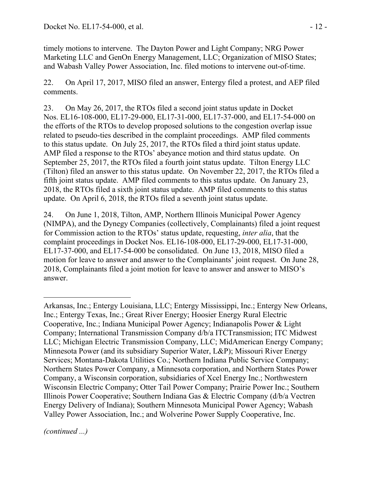timely motions to intervene. The Dayton Power and Light Company; NRG Power Marketing LLC and GenOn Energy Management, LLC; Organization of MISO States; and Wabash Valley Power Association, Inc. filed motions to intervene out-of-time.

22. On April 17, 2017, MISO filed an answer, Entergy filed a protest, and AEP filed comments.

23. On May 26, 2017, the RTOs filed a second joint status update in Docket Nos. EL16-108-000, EL17-29-000, EL17-31-000, EL17-37-000, and EL17-54-000 on the efforts of the RTOs to develop proposed solutions to the congestion overlap issue related to pseudo-ties described in the complaint proceedings. AMP filed comments to this status update. On July 25, 2017, the RTOs filed a third joint status update. AMP filed a response to the RTOs' abeyance motion and third status update. On September 25, 2017, the RTOs filed a fourth joint status update. Tilton Energy LLC (Tilton) filed an answer to this status update. On November 22, 2017, the RTOs filed a fifth joint status update. AMP filed comments to this status update. On January 23, 2018, the RTOs filed a sixth joint status update. AMP filed comments to this status update. On April 6, 2018, the RTOs filed a seventh joint status update.

24. On June 1, 2018, Tilton, AMP, Northern Illinois Municipal Power Agency (NIMPA), and the Dynegy Companies (collectively, Complainants) filed a joint request for Commission action to the RTOs' status update, requesting, *inter alia*, that the complaint proceedings in Docket Nos. EL16-108-000, EL17-29-000, EL17-31-000, EL17-37-000, and EL17-54-000 be consolidated. On June 13, 2018, MISO filed a motion for leave to answer and answer to the Complainants' joint request. On June 28, 2018, Complainants filed a joint motion for leave to answer and answer to MISO's answer.

 Arkansas, Inc.; Entergy Louisiana, LLC; Entergy Mississippi, Inc.; Entergy New Orleans, Inc.; Entergy Texas, Inc.; Great River Energy; Hoosier Energy Rural Electric Cooperative, Inc.; Indiana Municipal Power Agency; Indianapolis Power & Light Company; International Transmission Company d/b/a ITCTransmission; ITC Midwest LLC; Michigan Electric Transmission Company, LLC; MidAmerican Energy Company; Minnesota Power (and its subsidiary Superior Water, L&P); Missouri River Energy Services; Montana-Dakota Utilities Co.; Northern Indiana Public Service Company; Northern States Power Company, a Minnesota corporation, and Northern States Power Company, a Wisconsin corporation, subsidiaries of Xcel Energy Inc.; Northwestern Wisconsin Electric Company; Otter Tail Power Company; Prairie Power Inc.; Southern Illinois Power Cooperative; Southern Indiana Gas & Electric Company (d/b/a Vectren Energy Delivery of Indiana); Southern Minnesota Municipal Power Agency; Wabash Valley Power Association, Inc.; and Wolverine Power Supply Cooperative, Inc.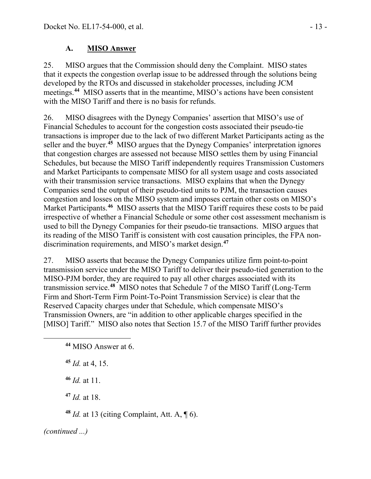## **A. MISO Answer**

25. MISO argues that the Commission should deny the Complaint. MISO states that it expects the congestion overlap issue to be addressed through the solutions being developed by the RTOs and discussed in stakeholder processes, including JCM meetings.**[44](#page-12-0)** MISO asserts that in the meantime, MISO's actions have been consistent with the MISO Tariff and there is no basis for refunds.

26. MISO disagrees with the Dynegy Companies' assertion that MISO's use of Financial Schedules to account for the congestion costs associated their pseudo-tie transactions is improper due to the lack of two different Market Participants acting as the seller and the buyer.**[45](#page-12-1)** MISO argues that the Dynegy Companies' interpretation ignores that congestion charges are assessed not because MISO settles them by using Financial Schedules, but because the MISO Tariff independently requires Transmission Customers and Market Participants to compensate MISO for all system usage and costs associated with their transmission service transactions. MISO explains that when the Dynegy Companies send the output of their pseudo-tied units to PJM, the transaction causes congestion and losses on the MISO system and imposes certain other costs on MISO's Market Participants.<sup>[46](#page-12-2)</sup> MISO asserts that the MISO Tariff requires these costs to be paid irrespective of whether a Financial Schedule or some other cost assessment mechanism is used to bill the Dynegy Companies for their pseudo-tie transactions. MISO argues that its reading of the MISO Tariff is consistent with cost causation principles, the FPA nondiscrimination requirements, and MISO's market design.**[47](#page-12-3)**

27. MISO asserts that because the Dynegy Companies utilize firm point-to-point transmission service under the MISO Tariff to deliver their pseudo-tied generation to the MISO-PJM border, they are required to pay all other charges associated with its transmission service.**[48](#page-12-4)** MISO notes that Schedule 7 of the MISO Tariff (Long-Term Firm and Short-Term Firm Point-To-Point Transmission Service) is clear that the Reserved Capacity charges under that Schedule, which compensate MISO's Transmission Owners, are "in addition to other applicable charges specified in the [MISO] Tariff." MISO also notes that Section 15.7 of the MISO Tariff further provides

<span id="page-12-2"></span>**<sup>46</sup>** *Id.* at 11.

**<sup>47</sup>** *Id.* at 18.

**<sup>48</sup>** *Id.* at 13 (citing Complaint, Att. A, ¶ 6).

<span id="page-12-4"></span><span id="page-12-3"></span>*(continued ...)*

<span id="page-12-0"></span>**<sup>44</sup>** MISO Answer at 6.

<span id="page-12-1"></span>**<sup>45</sup>** *Id.* at 4, 15.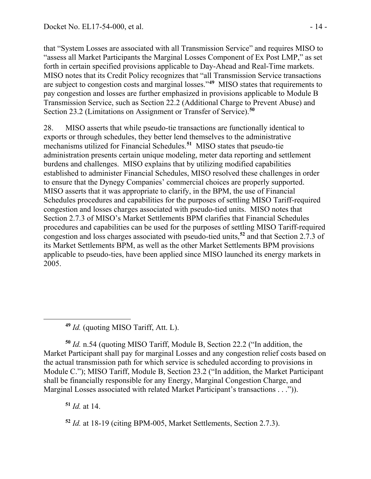that "System Losses are associated with all Transmission Service" and requires MISO to "assess all Market Participants the Marginal Losses Component of Ex Post LMP," as set forth in certain specified provisions applicable to Day-Ahead and Real-Time markets. MISO notes that its Credit Policy recognizes that "all Transmission Service transactions are subject to congestion costs and marginal losses."**[49](#page-13-0)** MISO states that requirements to pay congestion and losses are further emphasized in provisions applicable to Module B Transmission Service, such as Section 22.2 (Additional Charge to Prevent Abuse) and Section 23.2 (Limitations on Assignment or Transfer of Service).**[50](#page-13-1)**

28. MISO asserts that while pseudo-tie transactions are functionally identical to exports or through schedules, they better lend themselves to the administrative mechanisms utilized for Financial Schedules.**[51](#page-13-2)** MISO states that pseudo-tie administration presents certain unique modeling, meter data reporting and settlement burdens and challenges. MISO explains that by utilizing modified capabilities established to administer Financial Schedules, MISO resolved these challenges in order to ensure that the Dynegy Companies' commercial choices are properly supported. MISO asserts that it was appropriate to clarify, in the BPM, the use of Financial Schedules procedures and capabilities for the purposes of settling MISO Tariff-required congestion and losses charges associated with pseudo-tied units. MISO notes that Section 2.7.3 of MISO's Market Settlements BPM clarifies that Financial Schedules procedures and capabilities can be used for the purposes of settling MISO Tariff-required congestion and loss charges associated with pseudo-tied units,**[52](#page-13-3)** and that Section 2.7.3 of its Market Settlements BPM, as well as the other Market Settlements BPM provisions applicable to pseudo-ties, have been applied since MISO launched its energy markets in 2005.

**<sup>49</sup>** *Id.* (quoting MISO Tariff, Att. L).

<span id="page-13-1"></span>**<sup>50</sup>** *Id.* n.54 (quoting MISO Tariff, Module B, Section 22.2 ("In addition, the Market Participant shall pay for marginal Losses and any congestion relief costs based on the actual transmission path for which service is scheduled according to provisions in Module C."); MISO Tariff, Module B, Section 23.2 ("In addition, the Market Participant shall be financially responsible for any Energy, Marginal Congestion Charge, and Marginal Losses associated with related Market Participant's transactions . . .")).

<span id="page-13-2"></span>**<sup>51</sup>** *Id.* at 14.

<span id="page-13-0"></span> $\overline{a}$ 

<span id="page-13-3"></span>**<sup>52</sup>** *Id.* at 18-19 (citing BPM-005, Market Settlements, Section 2.7.3).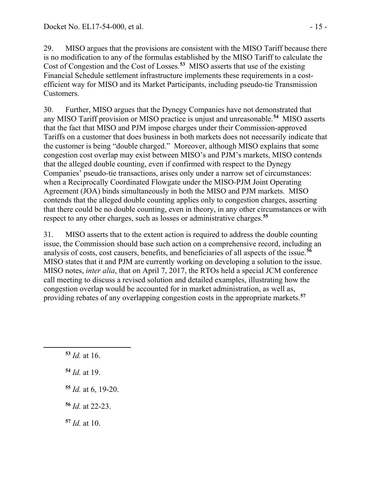29. MISO argues that the provisions are consistent with the MISO Tariff because there is no modification to any of the formulas established by the MISO Tariff to calculate the Cost of Congestion and the Cost of Losses.**[53](#page-14-0)** MISO asserts that use of the existing Financial Schedule settlement infrastructure implements these requirements in a costefficient way for MISO and its Market Participants, including pseudo-tie Transmission Customers.

30. Further, MISO argues that the Dynegy Companies have not demonstrated that any MISO Tariff provision or MISO practice is unjust and unreasonable.**[54](#page-14-1)** MISO asserts that the fact that MISO and PJM impose charges under their Commission-approved Tariffs on a customer that does business in both markets does not necessarily indicate that the customer is being "double charged." Moreover, although MISO explains that some congestion cost overlap may exist between MISO's and PJM's markets, MISO contends that the alleged double counting, even if confirmed with respect to the Dynegy Companies' pseudo-tie transactions, arises only under a narrow set of circumstances: when a Reciprocally Coordinated Flowgate under the MISO-PJM Joint Operating Agreement (JOA) binds simultaneously in both the MISO and PJM markets. MISO contends that the alleged double counting applies only to congestion charges, asserting that there could be no double counting, even in theory, in any other circumstances or with respect to any other charges, such as losses or administrative charges.**[55](#page-14-2)**

31. MISO asserts that to the extent action is required to address the double counting issue, the Commission should base such action on a comprehensive record, including an analysis of costs, cost causers, benefits, and beneficiaries of all aspects of the issue.**[56](#page-14-3)** MISO states that it and PJM are currently working on developing a solution to the issue. MISO notes, *inter alia*, that on April 7, 2017, the RTOs held a special JCM conference call meeting to discuss a revised solution and detailed examples, illustrating how the congestion overlap would be accounted for in market administration, as well as, providing rebates of any overlapping congestion costs in the appropriate markets.**[57](#page-14-4)**

<span id="page-14-0"></span>**<sup>53</sup>** *Id.* at 16.

- <span id="page-14-1"></span>**<sup>54</sup>** *Id.* at 19.
- <span id="page-14-2"></span>**<sup>55</sup>** *Id.* at 6, 19-20.
- <span id="page-14-3"></span>**<sup>56</sup>** *Id.* at 22-23.
- <span id="page-14-4"></span>**<sup>57</sup>** *Id.* at 10.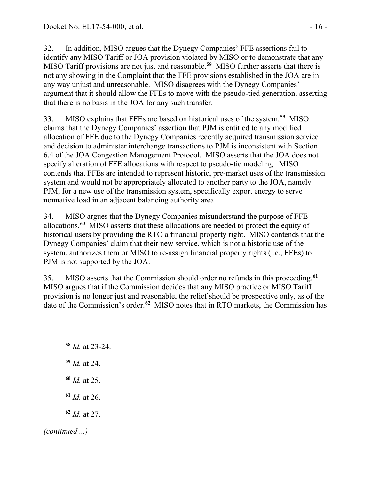32. In addition, MISO argues that the Dynegy Companies' FFE assertions fail to identify any MISO Tariff or JOA provision violated by MISO or to demonstrate that any MISO Tariff provisions are not just and reasonable.**[58](#page-15-0)** MISO further asserts that there is not any showing in the Complaint that the FFE provisions established in the JOA are in any way unjust and unreasonable. MISO disagrees with the Dynegy Companies' argument that it should allow the FFEs to move with the pseudo-tied generation, asserting that there is no basis in the JOA for any such transfer.

33. MISO explains that FFEs are based on historical uses of the system.**[59](#page-15-1)** MISO claims that the Dynegy Companies' assertion that PJM is entitled to any modified allocation of FFE due to the Dynegy Companies recently acquired transmission service and decision to administer interchange transactions to PJM is inconsistent with Section 6.4 of the JOA Congestion Management Protocol. MISO asserts that the JOA does not specify alteration of FFE allocations with respect to pseudo-tie modeling. MISO contends that FFEs are intended to represent historic, pre-market uses of the transmission system and would not be appropriately allocated to another party to the JOA, namely PJM, for a new use of the transmission system, specifically export energy to serve nonnative load in an adjacent balancing authority area.

34. MISO argues that the Dynegy Companies misunderstand the purpose of FFE allocations.**[60](#page-15-2)** MISO asserts that these allocations are needed to protect the equity of historical users by providing the RTO a financial property right. MISO contends that the Dynegy Companies' claim that their new service, which is not a historic use of the system, authorizes them or MISO to re-assign financial property rights (i.e., FFEs) to PJM is not supported by the JOA.

35. MISO asserts that the Commission should order no refunds in this proceeding.**[61](#page-15-3)** MISO argues that if the Commission decides that any MISO practice or MISO Tariff provision is no longer just and reasonable, the relief should be prospective only, as of the date of the Commission's order.**[62](#page-15-4)** MISO notes that in RTO markets, the Commission has

<span id="page-15-4"></span><span id="page-15-3"></span><span id="page-15-2"></span><span id="page-15-1"></span><span id="page-15-0"></span> *Id.* at 23-24. *Id.* at 24. *Id.* at 25. *Id.* at 26. *Id.* at 27. *(continued ...)*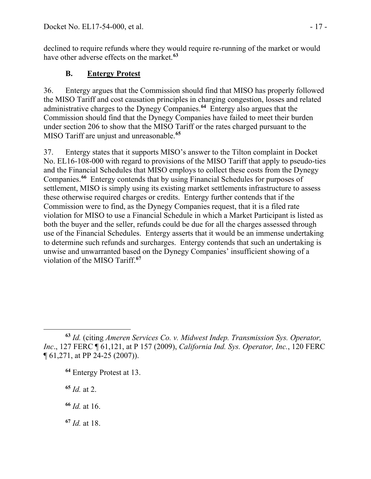declined to require refunds where they would require re-running of the market or would have other adverse effects on the market.**[63](#page-16-0)**

## **B. Entergy Protest**

36. Entergy argues that the Commission should find that MISO has properly followed the MISO Tariff and cost causation principles in charging congestion, losses and related administrative charges to the Dynegy Companies.**[64](#page-16-1)** Entergy also argues that the Commission should find that the Dynegy Companies have failed to meet their burden under section 206 to show that the MISO Tariff or the rates charged pursuant to the MISO Tariff are unjust and unreasonable.**[65](#page-16-2)**

37. Entergy states that it supports MISO's answer to the Tilton complaint in Docket No. EL16-108-000 with regard to provisions of the MISO Tariff that apply to pseudo-ties and the Financial Schedules that MISO employs to collect these costs from the Dynegy Companies.**[66](#page-16-3)** Entergy contends that by using Financial Schedules for purposes of settlement, MISO is simply using its existing market settlements infrastructure to assess these otherwise required charges or credits. Entergy further contends that if the Commission were to find, as the Dynegy Companies request, that it is a filed rate violation for MISO to use a Financial Schedule in which a Market Participant is listed as both the buyer and the seller, refunds could be due for all the charges assessed through use of the Financial Schedules. Entergy asserts that it would be an immense undertaking to determine such refunds and surcharges. Entergy contends that such an undertaking is unwise and unwarranted based on the Dynegy Companies' insufficient showing of a violation of the MISO Tariff.**[67](#page-16-4)**

<span id="page-16-2"></span>**<sup>65</sup>** *Id.* at 2.

<span id="page-16-3"></span>**<sup>66</sup>** *Id.* at 16.

<span id="page-16-4"></span>**<sup>67</sup>** *Id.* at 18.

<span id="page-16-1"></span><span id="page-16-0"></span> $\overline{a}$ **<sup>63</sup>** *Id.* (citing *Ameren Services Co. v. Midwest Indep. Transmission Sys. Operator, Inc*., 127 FERC ¶ 61,121, at P 157 (2009), *California Ind. Sys. Operator, Inc.*, 120 FERC ¶ 61,271, at PP 24-25 (2007)).

**<sup>64</sup>** Entergy Protest at 13.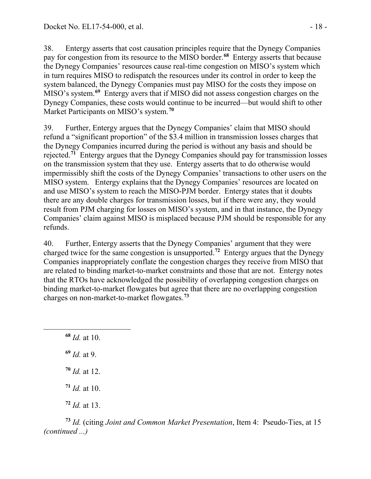38. Entergy asserts that cost causation principles require that the Dynegy Companies pay for congestion from its resource to the MISO border.**[68](#page-17-0)** Entergy asserts that because the Dynegy Companies' resources cause real-time congestion on MISO's system which in turn requires MISO to redispatch the resources under its control in order to keep the system balanced, the Dynegy Companies must pay MISO for the costs they impose on MISO's system.**[69](#page-17-1)** Entergy avers that if MISO did not assess congestion charges on the Dynegy Companies, these costs would continue to be incurred—but would shift to other Market Participants on MISO's system.**[70](#page-17-2)**

39. Further, Entergy argues that the Dynegy Companies' claim that MISO should refund a "significant proportion" of the \$3.4 million in transmission losses charges that the Dynegy Companies incurred during the period is without any basis and should be rejected.**[71](#page-17-3)** Entergy argues that the Dynegy Companies should pay for transmission losses on the transmission system that they use. Entergy asserts that to do otherwise would impermissibly shift the costs of the Dynegy Companies' transactions to other users on the MISO system. Entergy explains that the Dynegy Companies' resources are located on and use MISO's system to reach the MISO-PJM border. Entergy states that it doubts there are any double charges for transmission losses, but if there were any, they would result from PJM charging for losses on MISO's system, and in that instance, the Dynegy Companies' claim against MISO is misplaced because PJM should be responsible for any refunds.

40. Further, Entergy asserts that the Dynegy Companies' argument that they were charged twice for the same congestion is unsupported.**[72](#page-17-4)** Entergy argues that the Dynegy Companies inappropriately conflate the congestion charges they receive from MISO that are related to binding market-to-market constraints and those that are not. Entergy notes that the RTOs have acknowledged the possibility of overlapping congestion charges on binding market-to-market flowgates but agree that there are no overlapping congestion charges on non-market-to-market flowgates.**[73](#page-17-5)**

**<sup>68</sup>** *Id.* at 10. **<sup>69</sup>** *Id.* at 9. **<sup>70</sup>** *Id.* at 12.

<span id="page-17-2"></span><span id="page-17-1"></span><span id="page-17-0"></span> $\overline{a}$ 

**<sup>71</sup>** *Id.* at 10.

**<sup>72</sup>** *Id.* at 13.

<span id="page-17-5"></span><span id="page-17-4"></span><span id="page-17-3"></span>**<sup>73</sup>** *Id.* (citing *Joint and Common Market Presentation*, Item 4: Pseudo-Ties, at 15 *(continued ...)*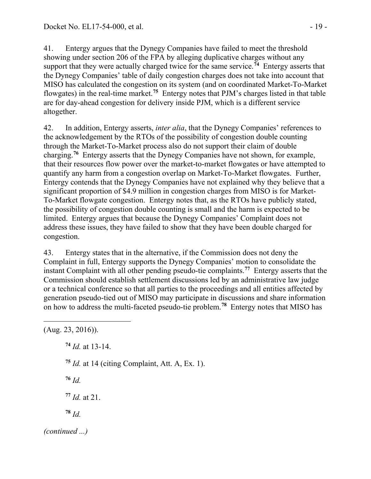41. Entergy argues that the Dynegy Companies have failed to meet the threshold showing under section 206 of the FPA by alleging duplicative charges without any support that they were actually charged twice for the same service.<sup>[74](#page-18-0)</sup> Entergy asserts that the Dynegy Companies' table of daily congestion charges does not take into account that MISO has calculated the congestion on its system (and on coordinated Market-To-Market flowgates) in the real-time market.**[75](#page-18-1)** Entergy notes that PJM's charges listed in that table are for day-ahead congestion for delivery inside PJM, which is a different service altogether.

42. In addition, Entergy asserts, *inter alia*, that the Dynegy Companies' references to the acknowledgement by the RTOs of the possibility of congestion double counting through the Market-To-Market process also do not support their claim of double charging.**[76](#page-18-2)** Entergy asserts that the Dynegy Companies have not shown, for example, that their resources flow power over the market-to-market flowgates or have attempted to quantify any harm from a congestion overlap on Market-To-Market flowgates. Further, Entergy contends that the Dynegy Companies have not explained why they believe that a significant proportion of \$4.9 million in congestion charges from MISO is for Market-To-Market flowgate congestion. Entergy notes that, as the RTOs have publicly stated, the possibility of congestion double counting is small and the harm is expected to be limited. Entergy argues that because the Dynegy Companies' Complaint does not address these issues, they have failed to show that they have been double charged for congestion.

43. Entergy states that in the alternative, if the Commission does not deny the Complaint in full, Entergy supports the Dynegy Companies' motion to consolidate the instant Complaint with all other pending pseudo-tie complaints.**[77](#page-18-3)** Entergy asserts that the Commission should establish settlement discussions led by an administrative law judge or a technical conference so that all parties to the proceedings and all entities affected by generation pseudo-tied out of MISO may participate in discussions and share information on how to address the multi-faceted pseudo-tie problem.**[78](#page-18-4)** Entergy notes that MISO has

<span id="page-18-4"></span><span id="page-18-3"></span><span id="page-18-2"></span><span id="page-18-1"></span><span id="page-18-0"></span>(Aug. 23, 2016)). **<sup>74</sup>** *Id.* at 13-14. **<sup>75</sup>** *Id.* at 14 (citing Complaint, Att. A, Ex. 1). **<sup>76</sup>** *Id.* **<sup>77</sup>** *Id.* at 21. **<sup>78</sup>** *Id. (continued ...)*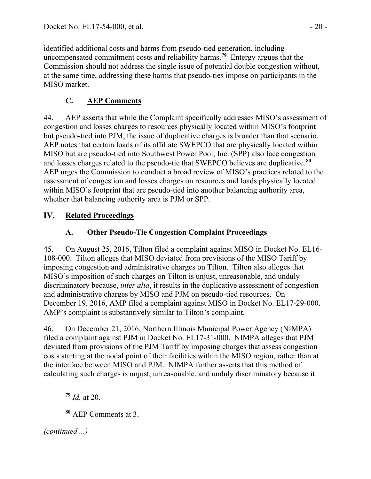identified additional costs and harms from pseudo-tied generation, including uncompensated commitment costs and reliability harms.**[79](#page-19-0)** Entergy argues that the Commission should not address the single issue of potential double congestion without, at the same time, addressing these harms that pseudo-ties impose on participants in the MISO market.

# **C. AEP Comments**

44. AEP asserts that while the Complaint specifically addresses MISO's assessment of congestion and losses charges to resources physically located within MISO's footprint but pseudo-tied into PJM, the issue of duplicative charges is broader than that scenario. AEP notes that certain loads of its affiliate SWEPCO that are physically located within MISO but are pseudo-tied into Southwest Power Pool, Inc. (SPP) also face congestion and losses charges related to the pseudo-tie that SWEPCO believes are duplicative.**[80](#page-19-1)** AEP urges the Commission to conduct a broad review of MISO's practices related to the assessment of congestion and losses charges on resources and loads physically located within MISO's footprint that are pseudo-tied into another balancing authority area, whether that balancing authority area is PJM or SPP.

### IV. **Related Proceedings**

# **A. Other Pseudo-Tie Congestion Complaint Proceedings**

45. On August 25, 2016, Tilton filed a complaint against MISO in Docket No. EL16- 108-000. Tilton alleges that MISO deviated from provisions of the MISO Tariff by imposing congestion and administrative charges on Tilton. Tilton also alleges that MISO's imposition of such charges on Tilton is unjust, unreasonable, and unduly discriminatory because, *inter alia*, it results in the duplicative assessment of congestion and administrative charges by MISO and PJM on pseudo-tied resources. On December 19, 2016, AMP filed a complaint against MISO in Docket No. EL17-29-000. AMP's complaint is substantively similar to Tilton's complaint.

46. On December 21, 2016, Northern Illinois Municipal Power Agency (NIMPA) filed a complaint against PJM in Docket No. EL17-31-000. NIMPA alleges that PJM deviated from provisions of the PJM Tariff by imposing charges that assess congestion costs starting at the nodal point of their facilities within the MISO region, rather than at the interface between MISO and PJM. NIMPA further asserts that this method of calculating such charges is unjust, unreasonable, and unduly discriminatory because it

**<sup>79</sup>** *Id.* at 20.

**<sup>80</sup>** AEP Comments at 3.

<span id="page-19-1"></span><span id="page-19-0"></span>*(continued ...)*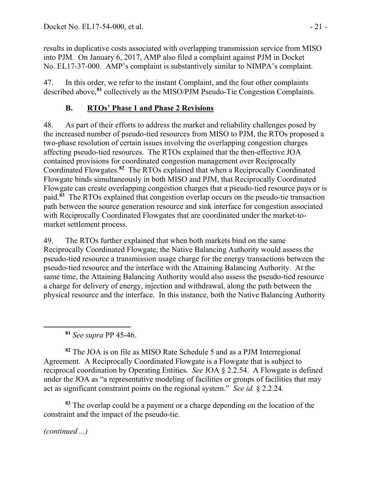results in duplicative costs associated with overlapping transmission service from MISO into PJM. On January 6, 2017, AMP also filed a complaint against PJM in Docket No. EL17-37-000. AMP's complaint is substantively similar to NIMPA's complaint.

47. In this order, we refer to the instant Complaint, and the four other complaints described above,**[81](#page-20-0)** collectively as the MISO/PJM Pseudo-Tie Congestion Complaints.

# **B. RTOs' Phase 1 and Phase 2 Revisions**

48. As part of their efforts to address the market and reliability challenges posed by the increased number of pseudo-tied resources from MISO to PJM, the RTOs proposed a two-phase resolution of certain issues involving the overlapping congestion charges affecting pseudo-tied resources. The RTOs explained that the then-effective JOA contained provisions for coordinated congestion management over Reciprocally Coordinated Flowgates.**[82](#page-20-1)** The RTOs explained that when a Reciprocally Coordinated Flowgate binds simultaneously in both MISO and PJM, that Reciprocally Coordinated Flowgate can create overlapping congestion charges that a pseudo-tied resource pays or is paid.**[83](#page-20-2)** The RTOs explained that congestion overlap occurs on the pseudo-tie transaction path between the source generation resource and sink interface for congestion associated with Reciprocally Coordinated Flowgates that are coordinated under the market-tomarket settlement process.

49. The RTOs further explained that when both markets bind on the same Reciprocally Coordinated Flowgate, the Native Balancing Authority would assess the pseudo-tied resource a transmission usage charge for the energy transactions between the pseudo-tied resource and the interface with the Attaining Balancing Authority. At the same time, the Attaining Balancing Authority would also assess the pseudo-tied resource a charge for delivery of energy, injection and withdrawal, along the path between the physical resource and the interface. In this instance, both the Native Balancing Authority

**<sup>81</sup>** *See supra* PP 45-46.

<span id="page-20-1"></span>**<sup>82</sup>** The JOA is on file as MISO Rate Schedule 5 and as a PJM Interregional Agreement. A Reciprocally Coordinated Flowgate is a Flowgate that is subject to reciprocal coordination by Operating Entities. *See* JOA § 2.2.54. A Flowgate is defined under the JOA as "a representative modeling of facilities or groups of facilities that may act as significant constraint points on the regional system." *See id.* § 2.2.24.

<span id="page-20-2"></span>**<sup>83</sup>** The overlap could be a payment or a charge depending on the location of the constraint and the impact of the pseudo-tie.

*(continued ...)*

<span id="page-20-0"></span>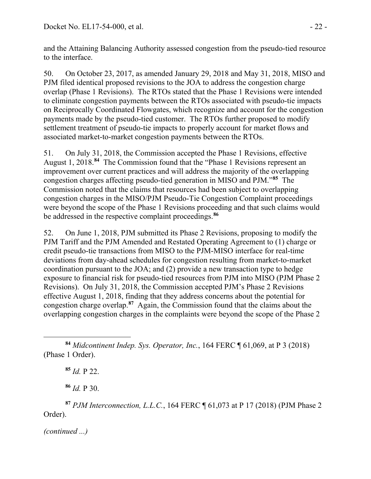and the Attaining Balancing Authority assessed congestion from the pseudo-tied resource to the interface.

50. On October 23, 2017, as amended January 29, 2018 and May 31, 2018, MISO and PJM filed identical proposed revisions to the JOA to address the congestion charge overlap (Phase 1 Revisions). The RTOs stated that the Phase 1 Revisions were intended to eliminate congestion payments between the RTOs associated with pseudo-tie impacts on Reciprocally Coordinated Flowgates, which recognize and account for the congestion payments made by the pseudo-tied customer. The RTOs further proposed to modify settlement treatment of pseudo-tie impacts to properly account for market flows and associated market-to-market congestion payments between the RTOs.

51. On July 31, 2018, the Commission accepted the Phase 1 Revisions, effective August 1, 2018.**[84](#page-21-0)** The Commission found that the "Phase 1 Revisions represent an improvement over current practices and will address the majority of the overlapping congestion charges affecting pseudo-tied generation in MISO and PJM."**[85](#page-21-1)** The Commission noted that the claims that resources had been subject to overlapping congestion charges in the MISO/PJM Pseudo-Tie Congestion Complaint proceedings were beyond the scope of the Phase 1 Revisions proceeding and that such claims would be addressed in the respective complaint proceedings.**[86](#page-21-2)**

52. On June 1, 2018, PJM submitted its Phase 2 Revisions, proposing to modify the PJM Tariff and the PJM Amended and Restated Operating Agreement to (1) charge or credit pseudo-tie transactions from MISO to the PJM-MISO interface for real-time deviations from day-ahead schedules for congestion resulting from market-to-market coordination pursuant to the JOA; and (2) provide a new transaction type to hedge exposure to financial risk for pseudo-tied resources from PJM into MISO (PJM Phase 2 Revisions). On July 31, 2018, the Commission accepted PJM's Phase 2 Revisions effective August 1, 2018, finding that they address concerns about the potential for congestion charge overlap.**[87](#page-21-3)** Again, the Commission found that the claims about the overlapping congestion charges in the complaints were beyond the scope of the Phase 2

**<sup>85</sup>** *Id.* P 22.

**<sup>86</sup>** *Id.* P 30.

<span id="page-21-3"></span><span id="page-21-2"></span><span id="page-21-1"></span>**<sup>87</sup>** *PJM Interconnection, L.L.C.*, 164 FERC ¶ 61,073 at P 17 (2018) (PJM Phase 2 Order).

<span id="page-21-0"></span>**<sup>84</sup>** *Midcontinent Indep. Sys. Operator, Inc.*, 164 FERC ¶ 61,069, at P 3 (2018) (Phase 1 Order).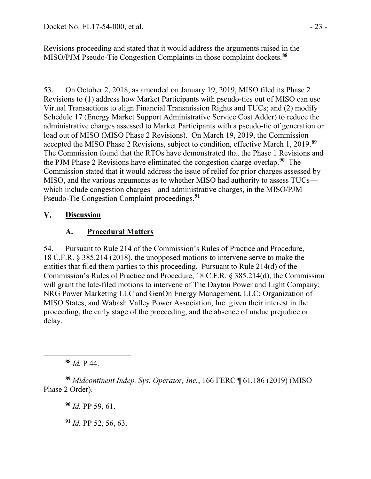Revisions proceeding and stated that it would address the arguments raised in the MISO/PJM Pseudo-Tie Congestion Complaints in those complaint dockets.**[88](#page-22-0)**

53. On October 2, 2018, as amended on January 19, 2019, MISO filed its Phase 2 Revisions to (1) address how Market Participants with pseudo-ties out of MISO can use Virtual Transactions to align Financial Transmission Rights and TUCs; and (2) modify Schedule 17 (Energy Market Support Administrative Service Cost Adder) to reduce the administrative charges assessed to Market Participants with a pseudo-tie of generation or load out of MISO (MISO Phase 2 Revisions). On March 19, 2019, the Commission accepted the MISO Phase 2 Revisions, subject to condition, effective March 1, 2019.**[89](#page-22-1)** The Commission found that the RTOs have demonstrated that the Phase 1 Revisions and the PJM Phase 2 Revisions have eliminated the congestion charge overlap.**[90](#page-22-2)** The Commission stated that it would address the issue of relief for prior charges assessed by MISO, and the various arguments as to whether MISO had authority to assess TUCs which include congestion charges—and administrative charges, in the MISO/PJM Pseudo-Tie Congestion Complaint proceedings.**[91](#page-22-3)**

#### $V_{\cdot}$ **Discussion**

## **A. Procedural Matters**

54. Pursuant to Rule 214 of the Commission's Rules of Practice and Procedure, 18 C.F.R. § 385.214 (2018), the unopposed motions to intervene serve to make the entities that filed them parties to this proceeding. Pursuant to Rule 214(d) of the Commission's Rules of Practice and Procedure, 18 C.F.R. § 385.214(d), the Commission will grant the late-filed motions to intervene of The Dayton Power and Light Company; NRG Power Marketing LLC and GenOn Energy Management, LLC; Organization of MISO States; and Wabash Valley Power Association, Inc. given their interest in the proceeding, the early stage of the proceeding, and the absence of undue prejudice or delay.

**<sup>88</sup>** *Id.* P 44.

<span id="page-22-0"></span> $\overline{a}$ 

<span id="page-22-3"></span><span id="page-22-2"></span><span id="page-22-1"></span>**<sup>89</sup>** *Midcontinent Indep. Sys. Operator, Inc.*, 166 FERC ¶ 61,186 (2019) (MISO Phase 2 Order).

**<sup>90</sup>** *Id.* PP 59, 61.

**<sup>91</sup>** *Id.* PP 52, 56, 63.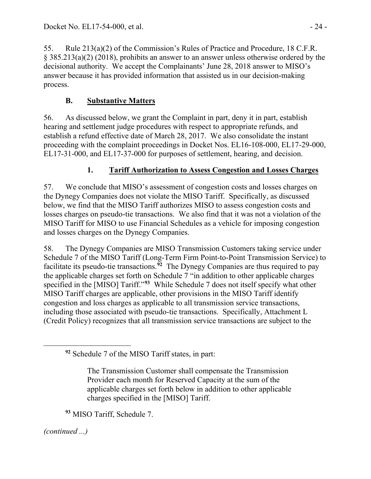55. Rule 213(a)(2) of the Commission's Rules of Practice and Procedure, 18 C.F.R. § 385.213(a)(2) (2018), prohibits an answer to an answer unless otherwise ordered by the decisional authority. We accept the Complainants' June 28, 2018 answer to MISO's answer because it has provided information that assisted us in our decision-making process.

# **B. Substantive Matters**

56. As discussed below, we grant the Complaint in part, deny it in part, establish hearing and settlement judge procedures with respect to appropriate refunds, and establish a refund effective date of March 28, 2017. We also consolidate the instant proceeding with the complaint proceedings in Docket Nos. EL16-108-000, EL17-29-000, EL17-31-000, and EL17-37-000 for purposes of settlement, hearing, and decision.

## **1. Tariff Authorization to Assess Congestion and Losses Charges**

57. We conclude that MISO's assessment of congestion costs and losses charges on the Dynegy Companies does not violate the MISO Tariff. Specifically, as discussed below, we find that the MISO Tariff authorizes MISO to assess congestion costs and losses charges on pseudo-tie transactions. We also find that it was not a violation of the MISO Tariff for MISO to use Financial Schedules as a vehicle for imposing congestion and losses charges on the Dynegy Companies.

58. The Dynegy Companies are MISO Transmission Customers taking service under Schedule 7 of the MISO Tariff (Long-Term Firm Point-to-Point Transmission Service) to facilitate its pseudo-tie transactions. **[92](#page-23-0)** The Dynegy Companies are thus required to pay the applicable charges set forth on Schedule 7 "in addition to other applicable charges specified in the [MISO] Tariff."**[93](#page-23-1)** While Schedule 7 does not itself specify what other MISO Tariff charges are applicable, other provisions in the MISO Tariff identify congestion and loss charges as applicable to all transmission service transactions, including those associated with pseudo-tie transactions. Specifically, Attachment L (Credit Policy) recognizes that all transmission service transactions are subject to the

**<sup>93</sup>** MISO Tariff, Schedule 7.

<span id="page-23-1"></span>*(continued ...)*

<span id="page-23-0"></span>**<sup>92</sup>** Schedule 7 of the MISO Tariff states, in part:

The Transmission Customer shall compensate the Transmission Provider each month for Reserved Capacity at the sum of the applicable charges set forth below in addition to other applicable charges specified in the [MISO] Tariff.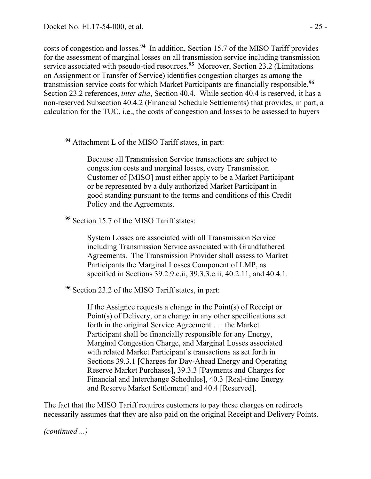<span id="page-24-0"></span> $\overline{a}$ 

costs of congestion and losses.**[94](#page-24-0)** In addition, Section 15.7 of the MISO Tariff provides for the assessment of marginal losses on all transmission service including transmission service associated with pseudo-tied resources.**[95](#page-24-1)** Moreover, Section 23.2 (Limitations on Assignment or Transfer of Service) identifies congestion charges as among the transmission service costs for which Market Participants are financially responsible. **[96](#page-24-2)** Section 23.2 references, *inter alia*, Section 40.4. While section 40.4 is reserved, it has a non-reserved Subsection 40.4.2 (Financial Schedule Settlements) that provides, in part, a calculation for the TUC, i.e., the costs of congestion and losses to be assessed to buyers

**<sup>94</sup>** Attachment L of the MISO Tariff states, in part:

Because all Transmission Service transactions are subject to congestion costs and marginal losses, every Transmission Customer of [MISO] must either apply to be a Market Participant or be represented by a duly authorized Market Participant in good standing pursuant to the terms and conditions of this Credit Policy and the Agreements.

<span id="page-24-1"></span><sup>95</sup> Section 15.7 of the MISO Tariff states:

System Losses are associated with all Transmission Service including Transmission Service associated with Grandfathered Agreements. The Transmission Provider shall assess to Market Participants the Marginal Losses Component of LMP, as specified in Sections 39.2.9.c.ii, 39.3.3.c.ii, 40.2.11, and 40.4.1.

<span id="page-24-2"></span>**<sup>96</sup>** Section 23.2 of the MISO Tariff states, in part:

If the Assignee requests a change in the Point(s) of Receipt or Point(s) of Delivery, or a change in any other specifications set forth in the original Service Agreement . . . the Market Participant shall be financially responsible for any Energy, Marginal Congestion Charge, and Marginal Losses associated with related Market Participant's transactions as set forth in Sections 39.3.1 [Charges for Day-Ahead Energy and Operating Reserve Market Purchases], 39.3.3 [Payments and Charges for Financial and Interchange Schedules], 40.3 [Real-time Energy and Reserve Market Settlement] and 40.4 [Reserved].

The fact that the MISO Tariff requires customers to pay these charges on redirects necessarily assumes that they are also paid on the original Receipt and Delivery Points.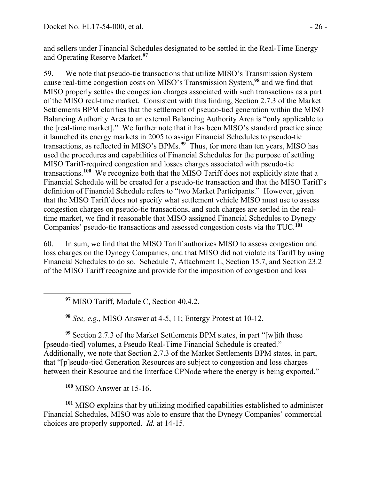and sellers under Financial Schedules designated to be settled in the Real-Time Energy and Operating Reserve Market. **[97](#page-25-0)**

59. We note that pseudo-tie transactions that utilize MISO's Transmission System cause real-time congestion costs on MISO's Transmission System,**[98](#page-25-1)** and we find that MISO properly settles the congestion charges associated with such transactions as a part of the MISO real-time market. Consistent with this finding, Section 2.7.3 of the Market Settlements BPM clarifies that the settlement of pseudo-tied generation within the MISO Balancing Authority Area to an external Balancing Authority Area is "only applicable to the [real-time market]." We further note that it has been MISO's standard practice since it launched its energy markets in 2005 to assign Financial Schedules to pseudo-tie transactions, as reflected in MISO's BPMs. **[99](#page-25-2)** Thus, for more than ten years, MISO has used the procedures and capabilities of Financial Schedules for the purpose of settling MISO Tariff-required congestion and losses charges associated with pseudo-tie transactions. **[100](#page-25-3)** We recognize both that the MISO Tariff does not explicitly state that a Financial Schedule will be created for a pseudo-tie transaction and that the MISO Tariff's definition of Financial Schedule refers to "two Market Participants." However, given that the MISO Tariff does not specify what settlement vehicle MISO must use to assess congestion charges on pseudo-tie transactions, and such charges are settled in the realtime market, we find it reasonable that MISO assigned Financial Schedules to Dynegy Companies' pseudo-tie transactions and assessed congestion costs via the TUC.<sup>[101](#page-25-4)</sup>

60. In sum, we find that the MISO Tariff authorizes MISO to assess congestion and loss charges on the Dynegy Companies, and that MISO did not violate its Tariff by using Financial Schedules to do so. Schedule 7, Attachment L, Section 15.7, and Section 23.2 of the MISO Tariff recognize and provide for the imposition of congestion and loss

**<sup>97</sup>** MISO Tariff, Module C, Section 40.4.2.

**<sup>98</sup>** *See, e.g.,* MISO Answer at 4-5, 11; Entergy Protest at 10-12.

<span id="page-25-2"></span><span id="page-25-1"></span>**<sup>99</sup>** Section 2.7.3 of the Market Settlements BPM states, in part "[w]ith these [pseudo-tied] volumes, a Pseudo Real-Time Financial Schedule is created." Additionally, we note that Section 2.7.3 of the Market Settlements BPM states, in part, that "[p]seudo-tied Generation Resources are subject to congestion and loss charges between their Resource and the Interface CPNode where the energy is being exported."

**<sup>100</sup>** MISO Answer at 15-16.

<span id="page-25-0"></span>

<span id="page-25-4"></span><span id="page-25-3"></span>**<sup>101</sup>** MISO explains that by utilizing modified capabilities established to administer Financial Schedules, MISO was able to ensure that the Dynegy Companies' commercial choices are properly supported. *Id.* at 14-15.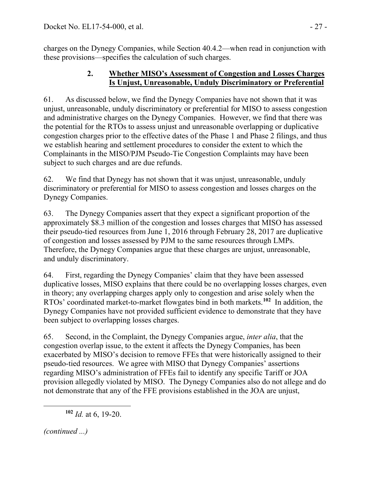charges on the Dynegy Companies, while Section 40.4.2—when read in conjunction with these provisions—specifies the calculation of such charges.

## **2. Whether MISO's Assessment of Congestion and Losses Charges Is Unjust, Unreasonable, Unduly Discriminatory or Preferential**

61. As discussed below, we find the Dynegy Companies have not shown that it was unjust, unreasonable, unduly discriminatory or preferential for MISO to assess congestion and administrative charges on the Dynegy Companies. However, we find that there was the potential for the RTOs to assess unjust and unreasonable overlapping or duplicative congestion charges prior to the effective dates of the Phase 1 and Phase 2 filings, and thus we establish hearing and settlement procedures to consider the extent to which the Complainants in the MISO/PJM Pseudo-Tie Congestion Complaints may have been subject to such charges and are due refunds.

62. We find that Dynegy has not shown that it was unjust, unreasonable, unduly discriminatory or preferential for MISO to assess congestion and losses charges on the Dynegy Companies.

63. The Dynegy Companies assert that they expect a significant proportion of the approximately \$8.3 million of the congestion and losses charges that MISO has assessed their pseudo-tied resources from June 1, 2016 through February 28, 2017 are duplicative of congestion and losses assessed by PJM to the same resources through LMPs. Therefore, the Dynegy Companies argue that these charges are unjust, unreasonable, and unduly discriminatory.

64. First, regarding the Dynegy Companies' claim that they have been assessed duplicative losses, MISO explains that there could be no overlapping losses charges, even in theory; any overlapping charges apply only to congestion and arise solely when the RTOs' coordinated market-to-market flowgates bind in both markets.**[102](#page-26-0)** In addition, the Dynegy Companies have not provided sufficient evidence to demonstrate that they have been subject to overlapping losses charges.

65. Second, in the Complaint, the Dynegy Companies argue, *inter alia*, that the congestion overlap issue, to the extent it affects the Dynegy Companies, has been exacerbated by MISO's decision to remove FFEs that were historically assigned to their pseudo-tied resources. We agree with MISO that Dynegy Companies' assertions regarding MISO's administration of FFEs fail to identify any specific Tariff or JOA provision allegedly violated by MISO. The Dynegy Companies also do not allege and do not demonstrate that any of the FFE provisions established in the JOA are unjust,

<span id="page-26-0"></span>*(continued ...)*

**<sup>102</sup>** *Id.* at 6, 19-20.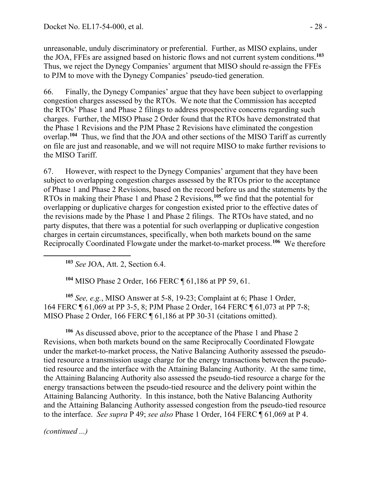unreasonable, unduly discriminatory or preferential. Further, as MISO explains, under the JOA, FFEs are assigned based on historic flows and not current system conditions.**[103](#page-27-0)** Thus, we reject the Dynegy Companies' argument that MISO should re-assign the FFEs to PJM to move with the Dynegy Companies' pseudo-tied generation.

66. Finally, the Dynegy Companies' argue that they have been subject to overlapping congestion charges assessed by the RTOs. We note that the Commission has accepted the RTOs' Phase 1 and Phase 2 filings to address prospective concerns regarding such charges. Further, the MISO Phase 2 Order found that the RTOs have demonstrated that the Phase 1 Revisions and the PJM Phase 2 Revisions have eliminated the congestion overlap.**[104](#page-27-1)** Thus, we find that the JOA and other sections of the MISO Tariff as currently on file are just and reasonable, and we will not require MISO to make further revisions to the MISO Tariff.

67. However, with respect to the Dynegy Companies' argument that they have been subject to overlapping congestion charges assessed by the RTOs prior to the acceptance of Phase 1 and Phase 2 Revisions, based on the record before us and the statements by the RTOs in making their Phase 1 and Phase 2 Revisions,**[105](#page-27-2)** we find that the potential for overlapping or duplicative charges for congestion existed prior to the effective dates of the revisions made by the Phase 1 and Phase 2 filings. The RTOs have stated, and no party disputes, that there was a potential for such overlapping or duplicative congestion charges in certain circumstances, specifically, when both markets bound on the same Reciprocally Coordinated Flowgate under the market-to-market process. **[106](#page-27-3)** We therefore

**<sup>103</sup>** *See* JOA, Att. 2, Section 6.4.

**<sup>104</sup>** MISO Phase 2 Order, 166 FERC ¶ 61,186 at PP 59, 61.

<span id="page-27-2"></span><span id="page-27-1"></span><span id="page-27-0"></span>**<sup>105</sup>** *See, e.g.*, MISO Answer at 5-8, 19-23; Complaint at 6; Phase 1 Order, 164 FERC ¶ 61,069 at PP 3-5, 8; PJM Phase 2 Order, 164 FERC ¶ 61,073 at PP 7-8; MISO Phase 2 Order, 166 FERC ¶ 61,186 at PP 30-31 (citations omitted).

<span id="page-27-3"></span>**<sup>106</sup>** As discussed above, prior to the acceptance of the Phase 1 and Phase 2 Revisions, when both markets bound on the same Reciprocally Coordinated Flowgate under the market-to-market process, the Native Balancing Authority assessed the pseudotied resource a transmission usage charge for the energy transactions between the pseudotied resource and the interface with the Attaining Balancing Authority. At the same time, the Attaining Balancing Authority also assessed the pseudo-tied resource a charge for the energy transactions between the pseudo-tied resource and the delivery point within the Attaining Balancing Authority. In this instance, both the Native Balancing Authority and the Attaining Balancing Authority assessed congestion from the pseudo-tied resource to the interface. *See supra* P 49; *see also* Phase 1 Order, 164 FERC ¶ 61,069 at P 4.

*(continued ...)*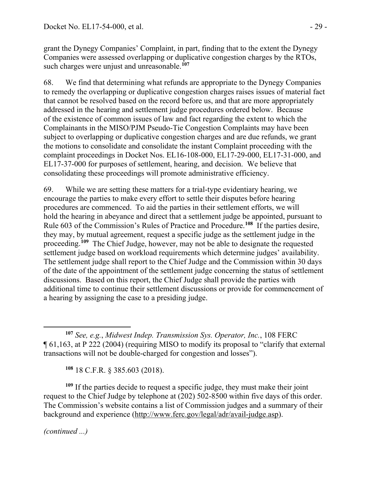grant the Dynegy Companies' Complaint, in part, finding that to the extent the Dynegy Companies were assessed overlapping or duplicative congestion charges by the RTOs, such charges were unjust and unreasonable.<sup>[107](#page-28-0)</sup>

68. We find that determining what refunds are appropriate to the Dynegy Companies to remedy the overlapping or duplicative congestion charges raises issues of material fact that cannot be resolved based on the record before us, and that are more appropriately addressed in the hearing and settlement judge procedures ordered below. Because of the existence of common issues of law and fact regarding the extent to which the Complainants in the MISO/PJM Pseudo-Tie Congestion Complaints may have been subject to overlapping or duplicative congestion charges and are due refunds, we grant the motions to consolidate and consolidate the instant Complaint proceeding with the complaint proceedings in Docket Nos. EL16-108-000, EL17-29-000, EL17-31-000, and EL17-37-000 for purposes of settlement, hearing, and decision. We believe that consolidating these proceedings will promote administrative efficiency.

69. While we are setting these matters for a trial-type evidentiary hearing, we encourage the parties to make every effort to settle their disputes before hearing procedures are commenced. To aid the parties in their settlement efforts, we will hold the hearing in abeyance and direct that a settlement judge be appointed, pursuant to Rule 603 of the Commission's Rules of Practice and Procedure.**[108](#page-28-1)** If the parties desire, they may, by mutual agreement, request a specific judge as the settlement judge in the proceeding.**[109](#page-28-2)** The Chief Judge, however, may not be able to designate the requested settlement judge based on workload requirements which determine judges' availability. The settlement judge shall report to the Chief Judge and the Commission within 30 days of the date of the appointment of the settlement judge concerning the status of settlement discussions. Based on this report, the Chief Judge shall provide the parties with additional time to continue their settlement discussions or provide for commencement of a hearing by assigning the case to a presiding judge.

**<sup>108</sup>** 18 C.F.R. § 385.603 (2018).

<span id="page-28-2"></span><span id="page-28-1"></span>**<sup>109</sup>** If the parties decide to request a specific judge, they must make their joint request to the Chief Judge by telephone at (202) 502-8500 within five days of this order. The Commission's website contains a list of Commission judges and a summary of their background and experience (http://www.ferc.gov/legal/adr/avail-judge.asp).

<span id="page-28-0"></span>**<sup>107</sup>** *See, e.g.*, *Midwest Indep. Transmission Sys. Operator, Inc.*, 108 FERC ¶ 61,163, at P 222 (2004) (requiring MISO to modify its proposal to "clarify that external transactions will not be double-charged for congestion and losses").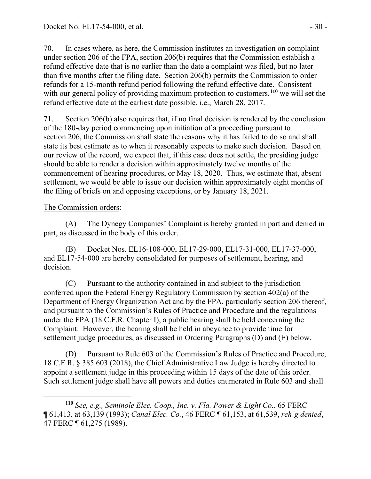70. In cases where, as here, the Commission institutes an investigation on complaint under section 206 of the FPA, section 206(b) requires that the Commission establish a refund effective date that is no earlier than the date a complaint was filed, but no later than five months after the filing date. Section 206(b) permits the Commission to order refunds for a 15-month refund period following the refund effective date. Consistent with our general policy of providing maximum protection to customers,<sup>[110](#page-29-0)</sup> we will set the refund effective date at the earliest date possible, i.e., March 28, 2017.

71. Section 206(b) also requires that, if no final decision is rendered by the conclusion of the 180-day period commencing upon initiation of a proceeding pursuant to section 206, the Commission shall state the reasons why it has failed to do so and shall state its best estimate as to when it reasonably expects to make such decision. Based on our review of the record, we expect that, if this case does not settle, the presiding judge should be able to render a decision within approximately twelve months of the commencement of hearing procedures, or May 18, 2020. Thus, we estimate that, absent settlement, we would be able to issue our decision within approximately eight months of the filing of briefs on and opposing exceptions, or by January 18, 2021.

## The Commission orders:

(A) The Dynegy Companies' Complaint is hereby granted in part and denied in part, as discussed in the body of this order.

(B) Docket Nos. EL16-108-000, EL17-29-000, EL17-31-000, EL17-37-000, and EL17-54-000 are hereby consolidated for purposes of settlement, hearing, and decision.

(C) Pursuant to the authority contained in and subject to the jurisdiction conferred upon the Federal Energy Regulatory Commission by section 402(a) of the Department of Energy Organization Act and by the FPA, particularly section 206 thereof, and pursuant to the Commission's Rules of Practice and Procedure and the regulations under the FPA (18 C.F.R. Chapter I), a public hearing shall be held concerning the Complaint. However, the hearing shall be held in abeyance to provide time for settlement judge procedures, as discussed in Ordering Paragraphs (D) and (E) below.

(D) Pursuant to Rule 603 of the Commission's Rules of Practice and Procedure, 18 C.F.R. § 385.603 (2018), the Chief Administrative Law Judge is hereby directed to appoint a settlement judge in this proceeding within 15 days of the date of this order. Such settlement judge shall have all powers and duties enumerated in Rule 603 and shall

<span id="page-29-0"></span> $\overline{a}$ **<sup>110</sup>** *See, e.g., Seminole Elec. Coop., Inc. v. Fla. Power & Light Co.*, 65 FERC ¶ 61,413, at 63,139 (1993); *Canal Elec. Co.*, 46 FERC ¶ 61,153, at 61,539, *reh'g denied*, 47 FERC ¶ 61,275 (1989).